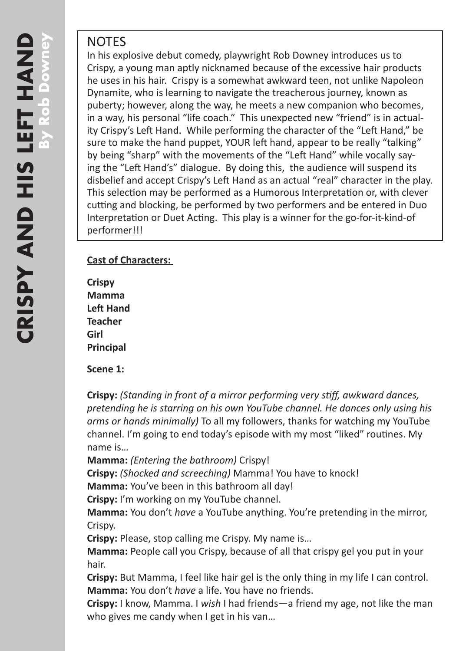## **NOTES**

In his explosive debut comedy, playwright Rob Downey introduces us to Crispy, a young man aptly nicknamed because of the excessive hair products he uses in his hair. Crispy is a somewhat awkward teen, not unlike Napoleon Dynamite, who is learning to navigate the treacherous journey, known as puberty; however, along the way, he meets a new companion who becomes, in a way, his personal "life coach." This unexpected new "friend" is in actuality Crispy's Left Hand. While performing the character of the "Left Hand," be sure to make the hand puppet, YOUR left hand, appear to be really "talking" by being "sharp" with the movements of the "Left Hand" while vocally saying the "Left Hand's" dialogue. By doing this, the audience will suspend its disbelief and accept Crispy's Left Hand as an actual "real" character in the play. This selection may be performed as a Humorous Interpretation or, with clever cutting and blocking, be performed by two performers and be entered in Duo Interpretation or Duet Acting. This play is a winner for the go-for-it-kind-of performer!!!

### **Cast of Characters:**

**Crispy Mamma Left Hand Teacher Girl Principal**

#### **Scene 1:**

**Crispy:** *(Standing in front of a mirror performing very stiff, awkward dances, pretending he is starring on his own YouTube channel. He dances only using his arms or hands minimally)* To all my followers, thanks for watching my YouTube channel. I'm going to end today's episode with my most "liked" routines. My name is…

**Mamma:** *(Entering the bathroom)* Crispy!

**Crispy:** *(Shocked and screeching)* Mamma! You have to knock!

**Mamma:** You've been in this bathroom all day!

**Crispy:** I'm working on my YouTube channel.

**Mamma:** You don't *have* a YouTube anything. You're pretending in the mirror, Crispy.

**Crispy:** Please, stop calling me Crispy. My name is…

**Mamma:** People call you Crispy, because of all that crispy gel you put in your hair.

**Crispy:** But Mamma, I feel like hair gel is the only thing in my life I can control. **Mamma:** You don't *have* a life. You have no friends.

**Crispy:** I know, Mamma. I *wish* I had friends—a friend my age, not like the man who gives me candy when I get in his van...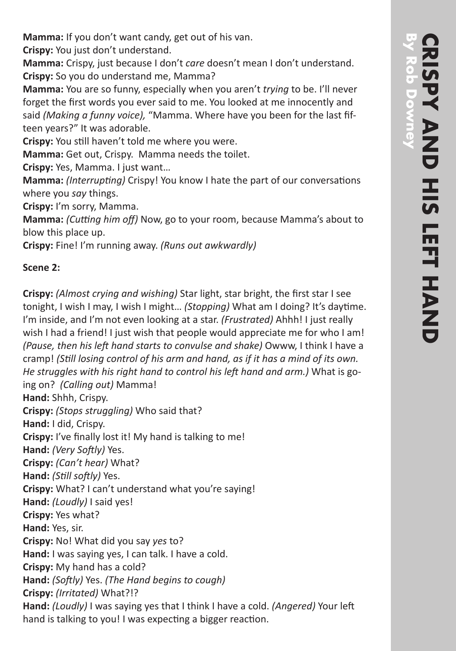**Crispy:** You just don't understand.

**Mamma:** Crispy, just because I don't *care* doesn't mean I don't understand. **Crispy:** So you do understand me, Mamma?

**Mamma:** You are so funny, especially when you aren't *trying* to be. I'll never forget the first words you ever said to me. You looked at me innocently and said *(Making a funny voice),* "Mamma. Where have you been for the last fifteen years?" It was adorable.

**Crispy:** You still haven't told me where you were.

**Mamma:** Get out, Crispy. Mamma needs the toilet.

**Crispy:** Yes, Mamma. I just want…

**Mamma:** *(Interrupting)* Crispy! You know I hate the part of our conversations where you *say* things.

**Crispy:** I'm sorry, Mamma.

**Mamma:** *(Cutting him off)* Now, go to your room, because Mamma's about to blow this place up.

**Crispy:** Fine! I'm running away. *(Runs out awkwardly)*

# **Scene 2:**

**Crispy:** *(Almost crying and wishing)* Star light, star bright, the first star I see tonight, I wish I may, I wish I might… *(Stopping)* What am I doing? It's daytime. I'm inside, and I'm not even looking at a star. *(Frustrated)* Ahhh! I just really wish I had a friend! I just wish that people would appreciate me for who I am! *(Pause, then his left hand starts to convulse and shake)* Owww, I think I have a cramp! *(Still losing control of his arm and hand, as if it has a mind of its own. He struggles with his right hand to control his left hand and arm.)* What is going on? *(Calling out)* Mamma! **Hand:** Shhh, Crispy. **Crispy:** *(Stops struggling)* Who said that? **Hand:** I did, Crispy. **Crispy:** I've finally lost it! My hand is talking to me! **Hand:** *(Very Softly)* Yes. **Crispy:** *(Can't hear)* What? **Hand:** *(Still softly)* Yes. **Crispy:** What? I can't understand what you're saying! **Hand:** *(Loudly)* I said yes! **Crispy:** Yes what? **Hand:** Yes, sir. **Crispy:** No! What did you say *yes* to? **Hand:** I was saying yes, I can talk. I have a cold. **Crispy:** My hand has a cold? **Hand:** *(Softly)* Yes. *(The Hand begins to cough)* **Crispy:** *(Irritated)* What?!? **Hand:** *(Loudly)* I was saying yes that I think I have a cold. *(Angered)* Your left hand is talking to you! I was expecting a bigger reaction.